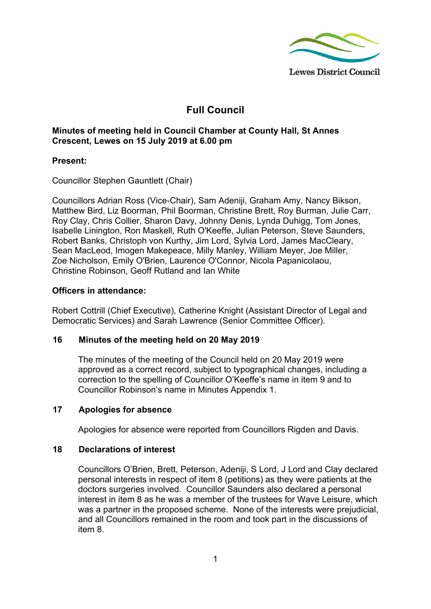

# **Full Council**

# **Minutes of meeting held in Council Chamber at County Hall, St Annes Crescent, Lewes on 15 July 2019 at 6.00 pm**

## **Present:**

Councillor Stephen Gauntlett (Chair)

Councillors Adrian Ross (Vice-Chair), Sam Adeniji, Graham Amy, Nancy Bikson, Matthew Bird, Liz Boorman, Phil Boorman, Christine Brett, Roy Burman, Julie Carr, Roy Clay, Chris Collier, Sharon Davy, Johnny Denis, Lynda Duhigg, Tom Jones, Isabelle Linington, Ron Maskell, Ruth O'Keeffe, Julian Peterson, Steve Saunders, Robert Banks, Christoph von Kurthy, Jim Lord, Sylvia Lord, James MacCleary, Sean MacLeod, Imogen Makepeace, Milly Manley, William Meyer, Joe Miller, Zoe Nicholson, Emily O'Brien, Laurence O'Connor, Nicola Papanicolaou, Christine Robinson, Geoff Rutland and Ian White

## **Officers in attendance:**

Robert Cottrill (Chief Executive), Catherine Knight (Assistant Director of Legal and Democratic Services) and Sarah Lawrence (Senior Committee Officer).

## **16 Minutes of the meeting held on 20 May 2019**

The minutes of the meeting of the Council held on 20 May 2019 were approved as a correct record, subject to typographical changes, including a correction to the spelling of Councillor O'Keeffe's name in item 9 and to Councillor Robinson's name in Minutes Appendix 1.

## **17 Apologies for absence**

Apologies for absence were reported from Councillors Rigden and Davis.

## **18 Declarations of interest**

Councillors O'Brien, Brett, Peterson, Adeniji, S Lord, J Lord and Clay declared personal interests in respect of item 8 (petitions) as they were patients at the doctors surgeries involved. Councillor Saunders also declared a personal interest in item 8 as he was a member of the trustees for Wave Leisure, which was a partner in the proposed scheme. None of the interests were prejudicial, and all Councillors remained in the room and took part in the discussions of item 8.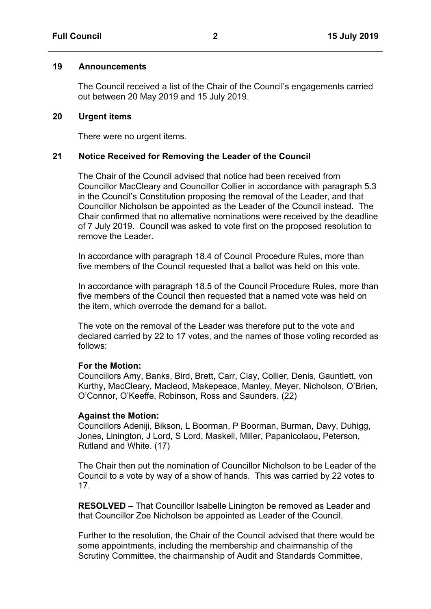#### **19 Announcements**

The Council received a list of the Chair of the Council's engagements carried out between 20 May 2019 and 15 July 2019.

#### **20 Urgent items**

There were no urgent items.

### **21 Notice Received for Removing the Leader of the Council**

The Chair of the Council advised that notice had been received from Councillor MacCleary and Councillor Collier in accordance with paragraph 5.3 in the Council's Constitution proposing the removal of the Leader, and that Councillor Nicholson be appointed as the Leader of the Council instead. The Chair confirmed that no alternative nominations were received by the deadline of 7 July 2019. Council was asked to vote first on the proposed resolution to remove the Leader.

In accordance with paragraph 18.4 of Council Procedure Rules, more than five members of the Council requested that a ballot was held on this vote.

In accordance with paragraph 18.5 of the Council Procedure Rules, more than five members of the Council then requested that a named vote was held on the item, which overrode the demand for a ballot.

The vote on the removal of the Leader was therefore put to the vote and declared carried by 22 to 17 votes, and the names of those voting recorded as follows:

#### **For the Motion:**

Councillors Amy, Banks, Bird, Brett, Carr, Clay, Collier, Denis, Gauntlett, von Kurthy, MacCleary, Macleod, Makepeace, Manley, Meyer, Nicholson, O'Brien, O'Connor, O'Keeffe, Robinson, Ross and Saunders. (22)

#### **Against the Motion:**

Councillors Adeniji, Bikson, L Boorman, P Boorman, Burman, Davy, Duhigg, Jones, Linington, J Lord, S Lord, Maskell, Miller, Papanicolaou, Peterson, Rutland and White. (17)

The Chair then put the nomination of Councillor Nicholson to be Leader of the Council to a vote by way of a show of hands. This was carried by 22 votes to 17.

**RESOLVED** – That Councillor Isabelle Linington be removed as Leader and that Councillor Zoe Nicholson be appointed as Leader of the Council.

Further to the resolution, the Chair of the Council advised that there would be some appointments, including the membership and chairmanship of the Scrutiny Committee, the chairmanship of Audit and Standards Committee,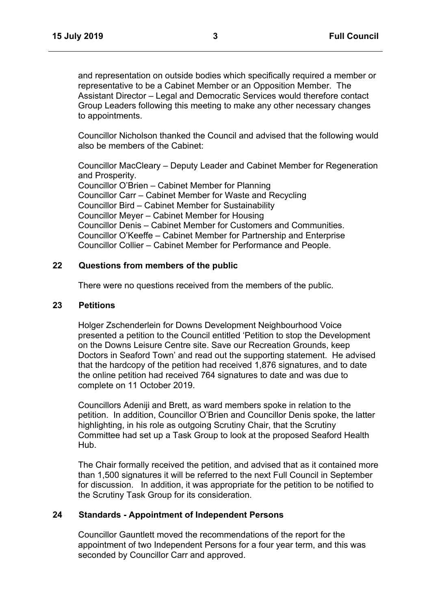and representation on outside bodies which specifically required a member or representative to be a Cabinet Member or an Opposition Member. The Assistant Director – Legal and Democratic Services would therefore contact Group Leaders following this meeting to make any other necessary changes to appointments.

Councillor Nicholson thanked the Council and advised that the following would also be members of the Cabinet:

Councillor MacCleary – Deputy Leader and Cabinet Member for Regeneration and Prosperity. Councillor O'Brien – Cabinet Member for Planning Councillor Carr – Cabinet Member for Waste and Recycling Councillor Bird – Cabinet Member for Sustainability Councillor Meyer – Cabinet Member for Housing Councillor Denis – Cabinet Member for Customers and Communities. Councillor O'Keeffe – Cabinet Member for Partnership and Enterprise Councillor Collier – Cabinet Member for Performance and People.

# **22 Questions from members of the public**

There were no questions received from the members of the public.

#### **23 Petitions**

Holger Zschenderlein for Downs Development Neighbourhood Voice presented a petition to the Council entitled 'Petition to stop the Development on the Downs Leisure Centre site. Save our Recreation Grounds, keep Doctors in Seaford Town' and read out the supporting statement. He advised that the hardcopy of the petition had received 1,876 signatures, and to date the online petition had received 764 signatures to date and was due to complete on 11 October 2019.

Councillors Adeniji and Brett, as ward members spoke in relation to the petition. In addition, Councillor O'Brien and Councillor Denis spoke, the latter highlighting, in his role as outgoing Scrutiny Chair, that the Scrutiny Committee had set up a Task Group to look at the proposed Seaford Health Hub.

The Chair formally received the petition, and advised that as it contained more than 1,500 signatures it will be referred to the next Full Council in September for discussion. In addition, it was appropriate for the petition to be notified to the Scrutiny Task Group for its consideration.

#### **24 Standards - Appointment of Independent Persons**

Councillor Gauntlett moved the recommendations of the report for the appointment of two Independent Persons for a four year term, and this was seconded by Councillor Carr and approved.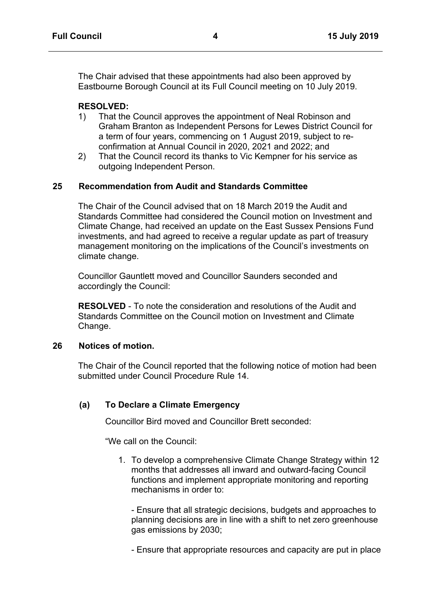The Chair advised that these appointments had also been approved by Eastbourne Borough Council at its Full Council meeting on 10 July 2019.

#### **RESOLVED:**

- 1) That the Council approves the appointment of Neal Robinson and Graham Branton as Independent Persons for Lewes District Council for a term of four years, commencing on 1 August 2019, subject to reconfirmation at Annual Council in 2020, 2021 and 2022; and
- 2) That the Council record its thanks to Vic Kempner for his service as outgoing Independent Person.

### **25 Recommendation from Audit and Standards Committee**

The Chair of the Council advised that on 18 March 2019 the Audit and Standards Committee had considered the Council motion on Investment and Climate Change, had received an update on the East Sussex Pensions Fund investments, and had agreed to receive a regular update as part of treasury management monitoring on the implications of the Council's investments on climate change.

Councillor Gauntlett moved and Councillor Saunders seconded and accordingly the Council:

**RESOLVED** - To note the consideration and resolutions of the Audit and Standards Committee on the Council motion on Investment and Climate Change.

### **26 Notices of motion.**

The Chair of the Council reported that the following notice of motion had been submitted under Council Procedure Rule 14.

## **(a) To Declare a Climate Emergency**

Councillor Bird moved and Councillor Brett seconded:

"We call on the Council:

1. To develop a comprehensive Climate Change Strategy within 12 months that addresses all inward and outward-facing Council functions and implement appropriate monitoring and reporting mechanisms in order to:

- Ensure that all strategic decisions, budgets and approaches to planning decisions are in line with a shift to net zero greenhouse gas emissions by 2030;

- Ensure that appropriate resources and capacity are put in place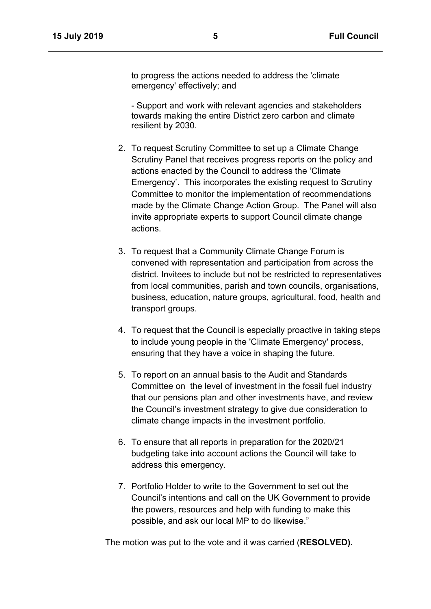to progress the actions needed to address the 'climate emergency' effectively; and

- Support and work with relevant agencies and stakeholders towards making the entire District zero carbon and climate resilient by 2030.

- 2. To request Scrutiny Committee to set up a Climate Change Scrutiny Panel that receives progress reports on the policy and actions enacted by the Council to address the 'Climate Emergency'. This incorporates the existing request to Scrutiny Committee to monitor the implementation of recommendations made by the Climate Change Action Group. The Panel will also invite appropriate experts to support Council climate change actions.
- 3. To request that a Community Climate Change Forum is convened with representation and participation from across the district. Invitees to include but not be restricted to representatives from local communities, parish and town councils, organisations, business, education, nature groups, agricultural, food, health and transport groups.
- 4. To request that the Council is especially proactive in taking steps to include young people in the 'Climate Emergency' process, ensuring that they have a voice in shaping the future.
- 5. To report on an annual basis to the Audit and Standards Committee on the level of investment in the fossil fuel industry that our pensions plan and other investments have, and review the Council's investment strategy to give due consideration to climate change impacts in the investment portfolio.
- 6. To ensure that all reports in preparation for the 2020/21 budgeting take into account actions the Council will take to address this emergency.
- 7. Portfolio Holder to write to the Government to set out the Council's intentions and call on the UK Government to provide the powers, resources and help with funding to make this possible, and ask our local MP to do likewise."

The motion was put to the vote and it was carried (**RESOLVED).**